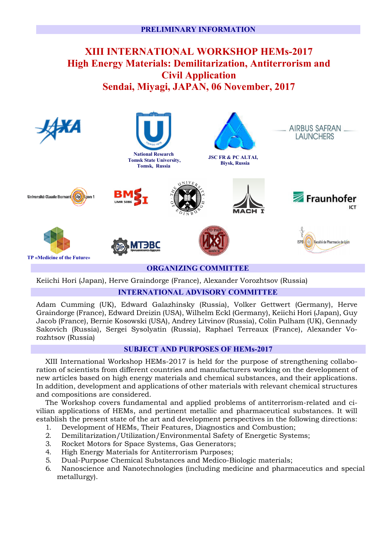# **XIII INTERNATIONAL WORKSHOP HEMs-2017 High Energy Materials: Demilitarization, Antiterrorism and Civil Application Sendai, Miyagi, JAPAN, 06 November, 2017**



## **INTERNATIONAL ADVISORY COMMITTEE**

Adam Cumming (UK), Edward Galazhinsky (Russia), Volker Gettwert (Germany), Herve Graindorge (France), Edward Dreizin (USA), Wilhelm Eckl (Germany), Keiichi Hori (Japan), Guy Jacob (France), Bernie Kosowski (USA), Andrey Litvinov (Russia), Colin Pulham (UK), Gennady Sakovich (Russia), Sergei Sysolyatin (Russia), Raphael Terreaux (France), Alexander Vorozhtsov (Russia)

### **SUBJECT AND PURPOSES OF HEMs-2017**

XIII International Workshop HEMs-2017 is held for the purpose of strengthening collaboration of scientists from different countries and manufacturers working on the development of new articles based on high energy materials and chemical substances, and their applications. In addition, development and applications of other materials with relevant chemical structures and compositions are considered.

The Workshop covers fundamental and applied problems of antiterrorism-related and civilian applications of HEMs, and pertinent metallic and pharmaceutical substances. It will establish the present state of the art and development perspectives in the following directions:

- 1. Development of HEMs, Their Features, Diagnostics and Combustion;
- 2. Demilitarization/Utilization/Environmental Safety of Energetic Systems;
- 3. Rocket Motors for Space Systems, Gas Generators;
- 4. High Energy Materials for Antiterrorism Purposes;
- 5. Dual-Purpose Chemical Substances and Medico-Biologic materials;
- 6. Nanoscience and Nanotechnologies (including medicine and pharmaceutics and special metallurgy).